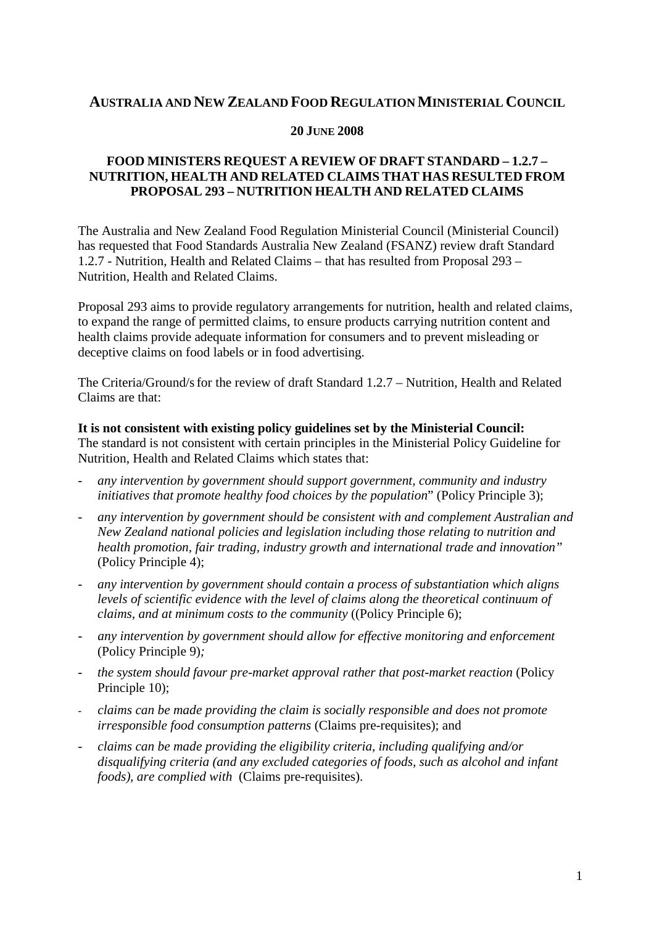# **AUSTRALIA AND NEW ZEALAND FOOD REGULATIONMINISTERIAL COUNCIL**

#### **20 JUNE 2008**

# **FOOD MINISTERS REQUEST A REVIEW OF DRAFT STANDARD – 1.2.7 – NUTRITION, HEALTH AND RELATED CLAIMS THAT HAS RESULTED FROM PROPOSAL 293 – NUTRITION HEALTH AND RELATED CLAIMS**

The Australia and New Zealand Food Regulation Ministerial Council (Ministerial Council) has requested that Food Standards Australia New Zealand (FSANZ) review draft Standard 1.2.7 - Nutrition, Health and Related Claims – that has resulted from Proposal 293 – Nutrition, Health and Related Claims.

Proposal 293 aims to provide regulatory arrangements for nutrition, health and related claims, to expand the range of permitted claims, to ensure products carrying nutrition content and health claims provide adequate information for consumers and to prevent misleading or deceptive claims on food labels or in food advertising.

The Criteria/Ground/sfor the review of draft Standard 1.2.7 – Nutrition, Health and Related Claims are that:

#### **It is not consistent with existing policy guidelines set by the Ministerial Council:**

The standard is not consistent with certain principles in the Ministerial Policy Guideline for Nutrition, Health and Related Claims which states that:

- *any intervention by government should support government, community and industry initiatives that promote healthy food choices by the population*" (Policy Principle 3);
- *any intervention by government should be consistent with and complement Australian and New Zealand national policies and legislation including those relating to nutrition and health promotion, fair trading, industry growth and international trade and innovation"*  (Policy Principle 4);
- *any intervention by government should contain a process of substantiation which aligns levels of scientific evidence with the level of claims along the theoretical continuum of claims, and at minimum costs to the community* ((Policy Principle 6);
- *any intervention by government should allow for effective monitoring and enforcement* (Policy Principle 9)*;*
- *the system should favour pre-market approval rather that post-market reaction* (Policy Principle 10);
- *claims can be made providing the claim is socially responsible and does not promote irresponsible food consumption patterns* (Claims pre-requisites); and
- *claims can be made providing the eligibility criteria, including qualifying and/or disqualifying criteria (and any excluded categories of foods, such as alcohol and infant foods), are complied with* (Claims pre-requisites).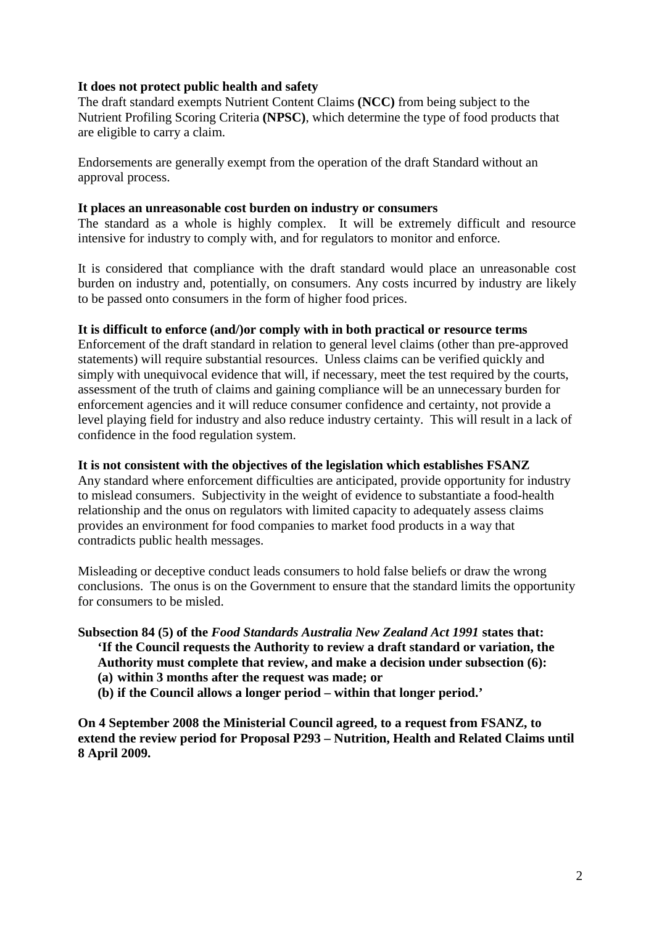## **It does not protect public health and safety**

The draft standard exempts Nutrient Content Claims **(NCC)** from being subject to the Nutrient Profiling Scoring Criteria **(NPSC)**, which determine the type of food products that are eligible to carry a claim.

Endorsements are generally exempt from the operation of the draft Standard without an approval process.

#### **It places an unreasonable cost burden on industry or consumers**

The standard as a whole is highly complex. It will be extremely difficult and resource intensive for industry to comply with, and for regulators to monitor and enforce.

It is considered that compliance with the draft standard would place an unreasonable cost burden on industry and, potentially, on consumers. Any costs incurred by industry are likely to be passed onto consumers in the form of higher food prices.

### **It is difficult to enforce (and/)or comply with in both practical or resource terms**

Enforcement of the draft standard in relation to general level claims (other than pre-approved statements) will require substantial resources. Unless claims can be verified quickly and simply with unequivocal evidence that will, if necessary, meet the test required by the courts, assessment of the truth of claims and gaining compliance will be an unnecessary burden for enforcement agencies and it will reduce consumer confidence and certainty, not provide a level playing field for industry and also reduce industry certainty. This will result in a lack of confidence in the food regulation system.

## **It is not consistent with the objectives of the legislation which establishes FSANZ**

Any standard where enforcement difficulties are anticipated, provide opportunity for industry to mislead consumers. Subjectivity in the weight of evidence to substantiate a food-health relationship and the onus on regulators with limited capacity to adequately assess claims provides an environment for food companies to market food products in a way that contradicts public health messages.

Misleading or deceptive conduct leads consumers to hold false beliefs or draw the wrong conclusions. The onus is on the Government to ensure that the standard limits the opportunity for consumers to be misled.

# **Subsection 84 (5) of the** *Food Standards Australia New Zealand Act 1991* **states that:**

**'If the Council requests the Authority to review a draft standard or variation, the Authority must complete that review, and make a decision under subsection (6):**

- **(a) within 3 months after the request was made; or**
- **(b) if the Council allows a longer period – within that longer period.'**

**On 4 September 2008 the Ministerial Council agreed, to a request from FSANZ, to extend the review period for Proposal P293 – Nutrition, Health and Related Claims until 8 April 2009.**